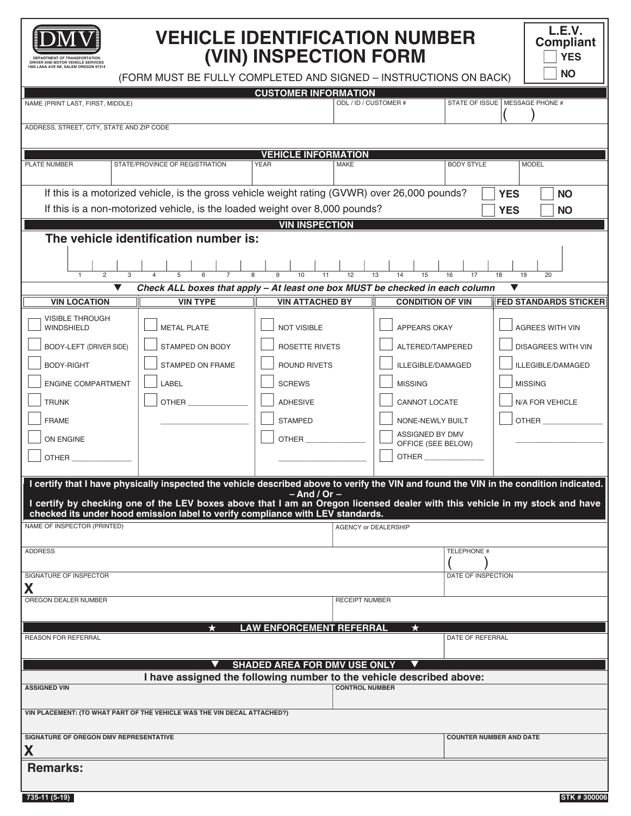

## **VEHICLE IDENTIFICATION NUMBER (VIN) INSPECTION FORM**

**L.E.V. Compliant YES**

**NO**

(FORM MUST BE FULLY COMPLETED AND SIGNED - INSTRUCTIONS ON BACK)

|                                                                                                        |                                                                                                                                        | <b>CUSTOMER INFORMATION</b>         |                       |                             |                                  |                           |                              |  |
|--------------------------------------------------------------------------------------------------------|----------------------------------------------------------------------------------------------------------------------------------------|-------------------------------------|-----------------------|-----------------------------|----------------------------------|---------------------------|------------------------------|--|
| NAME (PRINT LAST, FIRST, MIDDLE)                                                                       |                                                                                                                                        |                                     | ODL / ID / CUSTOMER # |                             | STATE OF ISSUE   MESSAGE PHONE # |                           |                              |  |
|                                                                                                        |                                                                                                                                        |                                     |                       |                             |                                  |                           |                              |  |
| ADDRESS, STREET, CITY, STATE AND ZIP CODE                                                              |                                                                                                                                        |                                     |                       |                             |                                  |                           |                              |  |
|                                                                                                        |                                                                                                                                        | <b>VEHICLE INFORMATION</b>          |                       |                             |                                  |                           |                              |  |
| <b>PLATE NUMBER</b>                                                                                    | STATE/PROVINCE OF REGISTRATION                                                                                                         | <b>YEAR</b>                         | <b>MAKE</b>           |                             | <b>BODY STYLE</b>                | <b>MODEL</b>              |                              |  |
|                                                                                                        |                                                                                                                                        |                                     |                       |                             |                                  |                           |                              |  |
| If this is a motorized vehicle, is the gross vehicle weight rating (GVWR) over 26,000 pounds?          |                                                                                                                                        |                                     |                       |                             |                                  | <b>YES</b>                | <b>NO</b>                    |  |
| If this is a non-motorized vehicle, is the loaded weight over 8,000 pounds?<br><b>YES</b><br><b>NO</b> |                                                                                                                                        |                                     |                       |                             |                                  |                           |                              |  |
| <b>VIN INSPECTION</b>                                                                                  |                                                                                                                                        |                                     |                       |                             |                                  |                           |                              |  |
| The vehicle identification number is:                                                                  |                                                                                                                                        |                                     |                       |                             |                                  |                           |                              |  |
|                                                                                                        |                                                                                                                                        |                                     |                       |                             |                                  |                           |                              |  |
| $\mathbf{1}$                                                                                           | $\overline{8}$                                                                                                                         | 10<br>$\overline{11}$               | $\overline{12}$       | 13<br>14<br>15              | 16<br>17                         | 18<br>19                  | 20                           |  |
| ▼                                                                                                      | Check ALL boxes that apply - At least one box MUST be checked in each column                                                           |                                     |                       |                             |                                  | ▼                         |                              |  |
| <b>VIN LOCATION</b>                                                                                    | <b>VIN TYPE</b>                                                                                                                        | <b>VIN ATTACHED BY</b>              |                       | <b>CONDITION OF VIN</b>     |                                  |                           | <b>FED STANDARDS STICKER</b> |  |
| <b>VISIBLE THROUGH</b><br>WINDSHIELD                                                                   | <b>METAL PLATE</b>                                                                                                                     | <b>NOT VISIBLE</b>                  |                       | <b>APPEARS OKAY</b>         |                                  | <b>AGREES WITH VIN</b>    |                              |  |
| <b>BODY-LEFT (DRIVER SIDE)</b>                                                                         | STAMPED ON BODY                                                                                                                        | <b>ROSETTE RIVETS</b>               |                       | ALTERED/TAMPERED            |                                  | <b>DISAGREES WITH VIN</b> |                              |  |
| <b>BODY-RIGHT</b>                                                                                      | STAMPED ON FRAME                                                                                                                       | <b>ROUND RIVETS</b>                 | ILLEGIBLE/DAMAGED     |                             | ILLEGIBLE/DAMAGED                |                           |                              |  |
| <b>ENGINE COMPARTMENT</b>                                                                              | LABEL                                                                                                                                  | <b>SCREWS</b>                       | <b>MISSING</b>        |                             |                                  | <b>MISSING</b>            |                              |  |
| <b>TRUNK</b>                                                                                           | <b>OTHER</b>                                                                                                                           | <b>ADHESIVE</b>                     | CANNOT LOCATE         |                             |                                  | N/A FOR VEHICLE           |                              |  |
| <b>FRAME</b>                                                                                           |                                                                                                                                        | <b>STAMPED</b>                      |                       | NONE-NEWLY BUILT            | <b>OTHER</b>                     |                           |                              |  |
|                                                                                                        |                                                                                                                                        |                                     |                       | ASSIGNED BY DMV             |                                  |                           |                              |  |
| ON ENGINE                                                                                              |                                                                                                                                        | <b>OTHER</b>                        |                       | OFFICE (SEE BELOW)          |                                  |                           |                              |  |
| <b>OTHER</b>                                                                                           |                                                                                                                                        |                                     |                       | <b>OTHER</b>                |                                  |                           |                              |  |
|                                                                                                        | I certify that I have physically inspected the vehicle described above to verify the VIN and found the VIN in the condition indicated. |                                     |                       |                             |                                  |                           |                              |  |
|                                                                                                        | I certify by checking one of the LEV boxes above that I am an Oregon licensed dealer with this vehicle in my stock and have            | $-$ And / Or $-$                    |                       |                             |                                  |                           |                              |  |
|                                                                                                        | checked its under hood emission label to verify compliance with LEV standards.                                                         |                                     |                       |                             |                                  |                           |                              |  |
| NAME OF INSPECTOR (PRINTED)                                                                            |                                                                                                                                        |                                     |                       | <b>AGENCY or DEALERSHIP</b> |                                  |                           |                              |  |
| <b>ADDRESS</b>                                                                                         |                                                                                                                                        |                                     |                       |                             | <b>TELEPHONE #</b>               |                           |                              |  |
|                                                                                                        |                                                                                                                                        |                                     |                       |                             |                                  |                           |                              |  |
| SIGNATURE OF INSPECTOR                                                                                 |                                                                                                                                        |                                     |                       |                             | DATE OF INSPECTION               |                           |                              |  |
| Χ<br>OREGON DEALER NUMBER                                                                              |                                                                                                                                        |                                     | <b>RECEIPT NUMBER</b> |                             |                                  |                           |                              |  |
|                                                                                                        |                                                                                                                                        |                                     |                       |                             |                                  |                           |                              |  |
|                                                                                                        | $\star$                                                                                                                                | <b>LAW ENFORCEMENT REFERRAL</b>     |                       | ★                           |                                  |                           |                              |  |
| <b>REASON FOR REFERRAL</b>                                                                             |                                                                                                                                        |                                     |                       |                             | DATE OF REFERRAL                 |                           |                              |  |
|                                                                                                        |                                                                                                                                        | <b>SHADED AREA FOR DMV USE ONLY</b> |                       |                             |                                  |                           |                              |  |
|                                                                                                        | I have assigned the following number to the vehicle described above:                                                                   |                                     |                       |                             |                                  |                           |                              |  |
| <b>CONTROL NUMBER</b><br><b>ASSIGNED VIN</b>                                                           |                                                                                                                                        |                                     |                       |                             |                                  |                           |                              |  |
| VIN PLACEMENT: (TO WHAT PART OF THE VEHICLE WAS THE VIN DECAL ATTACHED?)                               |                                                                                                                                        |                                     |                       |                             |                                  |                           |                              |  |
| SIGNATURE OF OREGON DMV REPRESENTATIVE<br>X                                                            |                                                                                                                                        |                                     |                       |                             | <b>COUNTER NUMBER AND DATE</b>   |                           |                              |  |
|                                                                                                        |                                                                                                                                        |                                     |                       |                             |                                  |                           |                              |  |
| <b>Remarks:</b>                                                                                        |                                                                                                                                        |                                     |                       |                             |                                  |                           |                              |  |
|                                                                                                        |                                                                                                                                        |                                     |                       |                             |                                  |                           |                              |  |